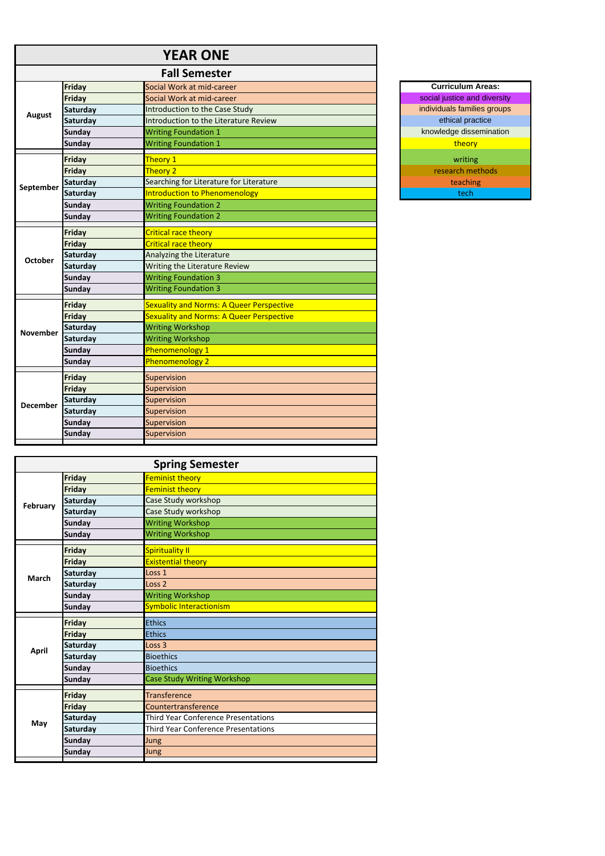|                 |                 | <b>YEAR ONE</b>                                 |                              |
|-----------------|-----------------|-------------------------------------------------|------------------------------|
|                 |                 | <b>Fall Semester</b>                            |                              |
|                 | <b>Friday</b>   | Social Work at mid-career                       | <b>Curriculum Areas:</b>     |
|                 | <b>Friday</b>   | Social Work at mid-career                       | social justice and diversity |
|                 | <b>Saturday</b> | Introduction to the Case Study                  | individuals families groups  |
| <b>August</b>   | Saturday        | Introduction to the Literature Review           | ethical practice             |
|                 | <b>Sunday</b>   | <b>Writing Foundation 1</b>                     | knowledge dissemination      |
|                 | <b>Sunday</b>   | <b>Writing Foundation 1</b>                     | theory                       |
|                 | <b>Friday</b>   | Theory 1                                        | writing                      |
|                 | Friday          | Theory 2                                        | research methods             |
| September       | Saturday        | Searching for Literature for Literature         | teaching                     |
|                 | <b>Saturday</b> | <b>Introduction to Phenomenology</b>            | tech                         |
|                 | <b>Sunday</b>   | <b>Writing Foundation 2</b>                     |                              |
|                 | <b>Sunday</b>   | <b>Writing Foundation 2</b>                     |                              |
|                 | Friday          | Critical race theory                            |                              |
|                 | Friday          | Critical race theory                            |                              |
| <b>October</b>  | <b>Saturday</b> | Analyzing the Literature                        |                              |
|                 | Saturday        | Writing the Literature Review                   |                              |
|                 | <b>Sunday</b>   | <b>Writing Foundation 3</b>                     |                              |
|                 | <b>Sunday</b>   | <b>Writing Foundation 3</b>                     |                              |
|                 | <b>Friday</b>   | Sexuality and Norms: A Queer Perspective        |                              |
|                 | Friday          | <b>Sexuality and Norms: A Queer Perspective</b> |                              |
| <b>November</b> | Saturday        | <b>Writing Workshop</b>                         |                              |
|                 | Saturday        | <b>Writing Workshop</b>                         |                              |
|                 | <b>Sunday</b>   | Phenomenology 1                                 |                              |
|                 | <b>Sunday</b>   | Phenomenology 2                                 |                              |
|                 | Friday          | Supervision                                     |                              |
|                 | Friday          | Supervision                                     |                              |
| <b>December</b> | <b>Saturday</b> | Supervision                                     |                              |
|                 | Saturday        | Supervision                                     |                              |
|                 | <b>Sunday</b>   | Supervision                                     |                              |
|                 | <b>Sunday</b>   | Supervision                                     |                              |
|                 |                 |                                                 |                              |

| <b>Spring Semester</b> |               |                                            |
|------------------------|---------------|--------------------------------------------|
| February               | <b>Friday</b> | <b>Feminist theory</b>                     |
|                        | <b>Friday</b> | <b>Feminist theory</b>                     |
|                        | Saturday      | Case Study workshop                        |
|                        | Saturday      | Case Study workshop                        |
|                        | <b>Sunday</b> | <b>Writing Workshop</b>                    |
|                        | <b>Sunday</b> | <b>Writing Workshop</b>                    |
|                        | Friday        | <b>Spirituality II</b>                     |
|                        | Friday        | <b>Existential theory</b>                  |
| <b>March</b>           | Saturday      | Loss <sub>1</sub>                          |
|                        | Saturday      | Loss <sub>2</sub>                          |
|                        | <b>Sunday</b> | <b>Writing Workshop</b>                    |
|                        | <b>Sunday</b> | <b>Symbolic Interactionism</b>             |
|                        | Friday        | <b>Ethics</b>                              |
|                        | <b>Friday</b> | Ethics                                     |
| <b>April</b>           | Saturday      | Loss <sub>3</sub>                          |
|                        | Saturday      | <b>Bioethics</b>                           |
|                        | <b>Sunday</b> | <b>Bioethics</b>                           |
|                        | <b>Sunday</b> | <b>Case Study Writing Workshop</b>         |
|                        | <b>Friday</b> | <b>Transference</b>                        |
|                        | Friday        | Countertransference                        |
| May                    | Saturday      | <b>Third Year Conference Presentations</b> |
|                        | Saturday      | <b>Third Year Conference Presentations</b> |
|                        | <b>Sunday</b> | Jung                                       |
|                        | <b>Sunday</b> | Jung                                       |
|                        |               |                                            |

| <b>Curriculum Areas:</b>     |  |
|------------------------------|--|
| social justice and diversity |  |
| individuals families groups  |  |
| ethical practice             |  |
| knowledge dissemination      |  |
| theory                       |  |
| writing                      |  |
| research methods             |  |
| teaching                     |  |
| tech                         |  |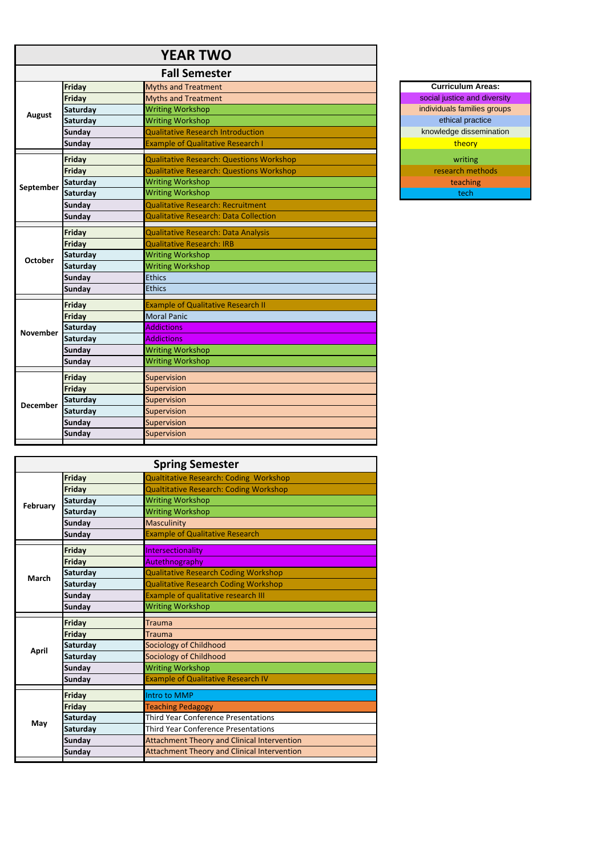## **YEAR TWO**

|                 |                 | <b>Fall Semester</b>                            |                              |
|-----------------|-----------------|-------------------------------------------------|------------------------------|
| <b>August</b>   | Friday          | <b>Myths and Treatment</b>                      | <b>Curriculum Areas:</b>     |
|                 | Friday          | <b>Myths and Treatment</b>                      | social justice and diversity |
|                 | <b>Saturday</b> | <b>Writing Workshop</b>                         | individuals families groups  |
|                 | <b>Saturday</b> | <b>Writing Workshop</b>                         | ethical practice             |
|                 | <b>Sunday</b>   | <b>Qualitative Research Introduction</b>        | knowledge dissemination      |
|                 | <b>Sunday</b>   | <b>Example of Qualitative Research I</b>        | theory                       |
|                 | Friday          | <b>Qualitative Research: Questions Workshop</b> | writing                      |
|                 | Friday          | <b>Qualitative Research: Questions Workshop</b> | research methods             |
| September       | Saturday        | <b>Writing Workshop</b>                         | teaching                     |
|                 | <b>Saturday</b> | <b>Writing Workshop</b>                         | tech                         |
|                 | <b>Sunday</b>   | <b>Qualitative Research: Recruitment</b>        |                              |
|                 | <b>Sunday</b>   | <b>Qualitative Research: Data Collection</b>    |                              |
|                 | Friday          | <b>Qualitative Research: Data Analysis</b>      |                              |
|                 | Friday          | <b>Qualitative Research: IRB</b>                |                              |
| <b>October</b>  | <b>Saturday</b> | <b>Writing Workshop</b>                         |                              |
|                 | Saturday        | <b>Writing Workshop</b>                         |                              |
|                 | <b>Sunday</b>   | <b>Ethics</b>                                   |                              |
|                 | <b>Sunday</b>   | <b>Ethics</b>                                   |                              |
|                 | Friday          | <b>Example of Qualitative Research II</b>       |                              |
|                 | Friday          | <b>Moral Panic</b>                              |                              |
| <b>November</b> | Saturday        | <b>Addictions</b>                               |                              |
|                 | <b>Saturday</b> | <b>Addictions</b>                               |                              |
|                 | <b>Sunday</b>   | <b>Writing Workshop</b>                         |                              |
|                 | Sunday          | <b>Writing Workshop</b>                         |                              |
|                 | Friday          | Supervision                                     |                              |
|                 | <b>Friday</b>   | Supervision                                     |                              |
| <b>December</b> | <b>Saturday</b> | Supervision                                     |                              |
|                 | <b>Saturday</b> | Supervision                                     |                              |
|                 | <b>Sunday</b>   | Supervision                                     |                              |
|                 | <b>Sunday</b>   | Supervision                                     |                              |
|                 |                 |                                                 |                              |

| <b>Spring Semester</b> |                 |                                                    |
|------------------------|-----------------|----------------------------------------------------|
| February               | <b>Friday</b>   | Qualtitative Research: Coding Workshop             |
|                        | Friday          | <b>Qualtitative Research: Coding Workshop</b>      |
|                        | Saturday        | <b>Writing Workshop</b>                            |
|                        | <b>Saturday</b> | <b>Writing Workshop</b>                            |
|                        | <b>Sunday</b>   | <b>Masculinity</b>                                 |
|                        | <b>Sunday</b>   | <b>Example of Qualitative Research</b>             |
|                        | Friday          | Intersectionality                                  |
|                        | Friday          | Autethnography                                     |
| <b>March</b>           | Saturday        | <b>Qualitative Research Coding Workshop</b>        |
|                        | Saturday        | <b>Qualitative Research Coding Workshop</b>        |
|                        | <b>Sunday</b>   | <b>Example of qualitative research III</b>         |
|                        | <b>Sunday</b>   | <b>Writing Workshop</b>                            |
|                        | Friday          | <b>Trauma</b>                                      |
|                        | <b>Friday</b>   | <b>Trauma</b>                                      |
|                        | Saturday        | Sociology of Childhood                             |
| <b>April</b>           | Saturday        | Sociology of Childhood                             |
|                        | <b>Sunday</b>   | <b>Writing Workshop</b>                            |
|                        | <b>Sunday</b>   | <b>Example of Qualitative Research IV</b>          |
|                        |                 |                                                    |
|                        | <b>Friday</b>   | Intro to MMP                                       |
|                        | Friday          | <b>Teaching Pedagogy</b>                           |
|                        | Saturday        | <b>Third Year Conference Presentations</b>         |
| May                    | Saturday        | <b>Third Year Conference Presentations</b>         |
|                        | <b>Sunday</b>   | Attachment Theory and Clinical Intervention        |
|                        | <b>Sunday</b>   | <b>Attachment Theory and Clinical Intervention</b> |

| <b>Curriculum Areas:</b>     |  |
|------------------------------|--|
| social justice and diversity |  |
| individuals families groups  |  |
| ethical practice             |  |
| knowledge dissemination      |  |
| theory                       |  |
| writing                      |  |
| research methods             |  |
| teaching                     |  |
| tech                         |  |